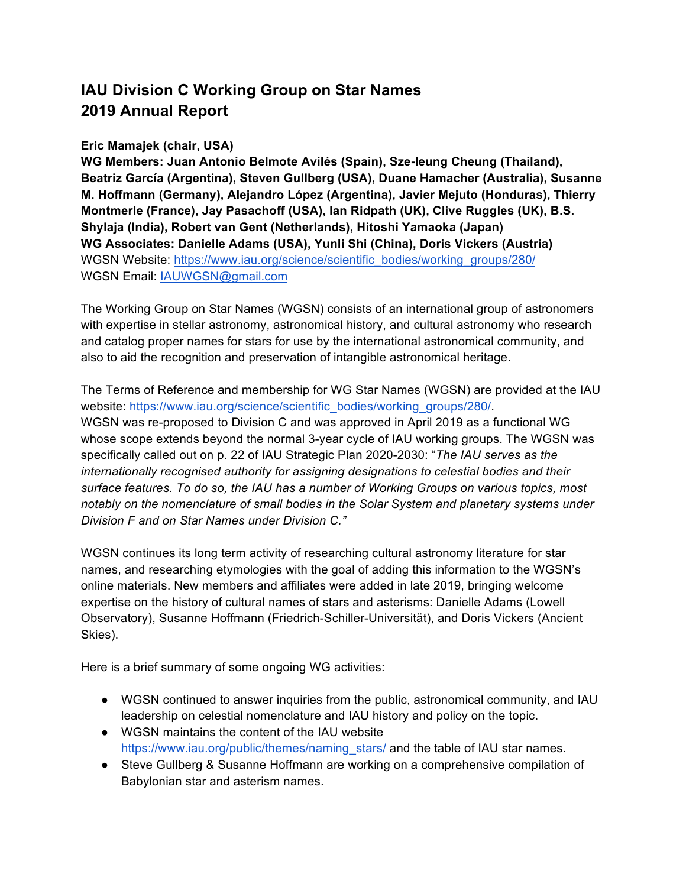# **IAU Division C Working Group on Star Names 2019 Annual Report**

# **Eric Mamajek (chair, USA)**

**WG Members: Juan Antonio Belmote Avilés (Spain), Sze-leung Cheung (Thailand), Beatriz García (Argentina), Steven Gullberg (USA), Duane Hamacher (Australia), Susanne M. Hoffmann (Germany), Alejandro López (Argentina), Javier Mejuto (Honduras), Thierry Montmerle (France), Jay Pasachoff (USA), Ian Ridpath (UK), Clive Ruggles (UK), B.S. Shylaja (India), Robert van Gent (Netherlands), Hitoshi Yamaoka (Japan) WG Associates: Danielle Adams (USA), Yunli Shi (China), Doris Vickers (Austria)** WGSN Website: https://www.iau.org/science/scientific\_bodies/working\_groups/280/ WGSN Email: IAUWGSN@gmail.com

The Working Group on Star Names (WGSN) consists of an international group of astronomers with expertise in stellar astronomy, astronomical history, and cultural astronomy who research and catalog proper names for stars for use by the international astronomical community, and also to aid the recognition and preservation of intangible astronomical heritage.

The Terms of Reference and membership for WG Star Names (WGSN) are provided at the IAU website: https://www.iau.org/science/scientific\_bodies/working\_groups/280/. WGSN was re-proposed to Division C and was approved in April 2019 as a functional WG whose scope extends beyond the normal 3-year cycle of IAU working groups. The WGSN was specifically called out on p. 22 of IAU Strategic Plan 2020-2030: "*The IAU serves as the internationally recognised authority for assigning designations to celestial bodies and their surface features. To do so, the IAU has a number of Working Groups on various topics, most notably on the nomenclature of small bodies in the Solar System and planetary systems under Division F and on Star Names under Division C."*

WGSN continues its long term activity of researching cultural astronomy literature for star names, and researching etymologies with the goal of adding this information to the WGSN's online materials. New members and affiliates were added in late 2019, bringing welcome expertise on the history of cultural names of stars and asterisms: Danielle Adams (Lowell Observatory), Susanne Hoffmann (Friedrich-Schiller-Universität), and Doris Vickers (Ancient Skies).

Here is a brief summary of some ongoing WG activities:

- WGSN continued to answer inquiries from the public, astronomical community, and IAU leadership on celestial nomenclature and IAU history and policy on the topic.
- WGSN maintains the content of the IAU website https://www.iau.org/public/themes/naming\_stars/ and the table of IAU star names.
- Steve Gullberg & Susanne Hoffmann are working on a comprehensive compilation of Babylonian star and asterism names.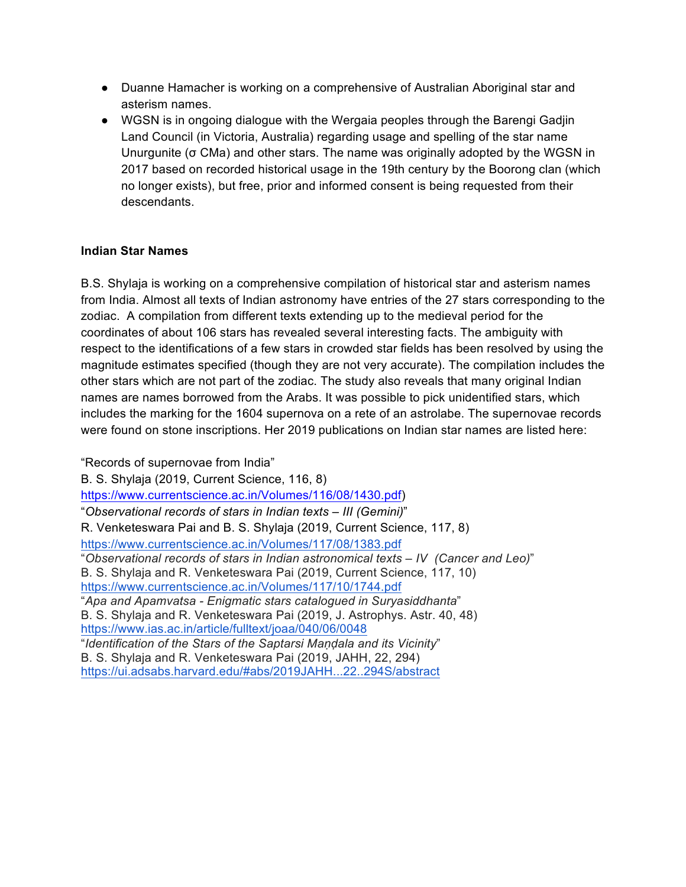- Duanne Hamacher is working on a comprehensive of Australian Aboriginal star and asterism names.
- WGSN is in ongoing dialogue with the Wergaia peoples through the Barengi Gadjin Land Council (in Victoria, Australia) regarding usage and spelling of the star name Unurgunite (σ CMa) and other stars. The name was originally adopted by the WGSN in 2017 based on recorded historical usage in the 19th century by the Boorong clan (which no longer exists), but free, prior and informed consent is being requested from their descendants.

# **Indian Star Names**

B.S. Shylaja is working on a comprehensive compilation of historical star and asterism names from India. Almost all texts of Indian astronomy have entries of the 27 stars corresponding to the zodiac. A compilation from different texts extending up to the medieval period for the coordinates of about 106 stars has revealed several interesting facts. The ambiguity with respect to the identifications of a few stars in crowded star fields has been resolved by using the magnitude estimates specified (though they are not very accurate). The compilation includes the other stars which are not part of the zodiac. The study also reveals that many original Indian names are names borrowed from the Arabs. It was possible to pick unidentified stars, which includes the marking for the 1604 supernova on a rete of an astrolabe. The supernovae records were found on stone inscriptions. Her 2019 publications on Indian star names are listed here:

"Records of supernovae from India" B. S. Shylaja (2019, Current Science, 116, 8) https://www.currentscience.ac.in/Volumes/116/08/1430.pdf) "*Observational records of stars in Indian texts – III (Gemini)*" R. Venketeswara Pai and B. S. Shylaja (2019, Current Science, 117, 8) https://www.currentscience.ac.in/Volumes/117/08/1383.pdf "*Observational records of stars in Indian astronomical texts – IV (Cancer and Leo)*" B. S. Shylaja and R. Venketeswara Pai (2019, Current Science, 117, 10) https://www.currentscience.ac.in/Volumes/117/10/1744.pdf "*Apa and Apamvatsa - Enigmatic stars catalogued in Suryasiddhanta*" B. S. Shylaja and R. Venketeswara Pai (2019, J. Astrophys. Astr. 40, 48) https://www.ias.ac.in/article/fulltext/joaa/040/06/0048 "*Identification of the Stars of the Saptarsi Maṇḍala and its Vicinity*" B. S. Shylaja and R. Venketeswara Pai (2019, JAHH, 22, 294) https://ui.adsabs.harvard.edu/#abs/2019JAHH...22..294S/abstract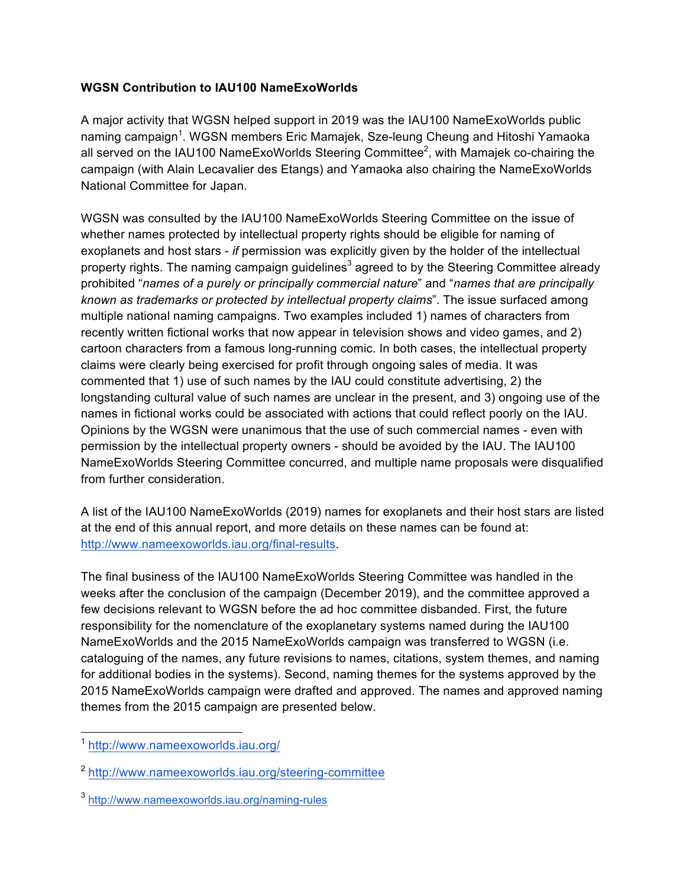### **WGSN Contribution to IAU100 NameExoWorlds**

A major activity that WGSN helped support in 2019 was the IAU100 NameExoWorlds public naming campaign<sup>1</sup>. WGSN members Eric Mamajek, Sze-leung Cheung and Hitoshi Yamaoka all served on the IAU100 NameExoWorlds Steering Committee<sup>2</sup>, with Mamajek co-chairing the campaign (with Alain Lecavalier des Etangs) and Yamaoka also chairing the NameExoWorlds National Committee for Japan.

WGSN was consulted by the IAU100 NameExoWorlds Steering Committee on the issue of whether names protected by intellectual property rights should be eligible for naming of exoplanets and host stars - *if* permission was explicitly given by the holder of the intellectual property rights. The naming campaign guidelines<sup>3</sup> agreed to by the Steering Committee already prohibited "*names of a purely or principally commercial nature*" and "*names that are principally known as trademarks or protected by intellectual property claims*". The issue surfaced among multiple national naming campaigns. Two examples included 1) names of characters from recently written fictional works that now appear in television shows and video games, and 2) cartoon characters from a famous long-running comic. In both cases, the intellectual property claims were clearly being exercised for profit through ongoing sales of media. It was commented that 1) use of such names by the IAU could constitute advertising, 2) the longstanding cultural value of such names are unclear in the present, and 3) ongoing use of the names in fictional works could be associated with actions that could reflect poorly on the IAU. Opinions by the WGSN were unanimous that the use of such commercial names - even with permission by the intellectual property owners - should be avoided by the IAU. The IAU100 NameExoWorlds Steering Committee concurred, and multiple name proposals were disqualified from further consideration.

A list of the IAU100 NameExoWorlds (2019) names for exoplanets and their host stars are listed at the end of this annual report, and more details on these names can be found at: http://www.nameexoworlds.iau.org/final-results.

The final business of the IAU100 NameExoWorlds Steering Committee was handled in the weeks after the conclusion of the campaign (December 2019), and the committee approved a few decisions relevant to WGSN before the ad hoc committee disbanded. First, the future responsibility for the nomenclature of the exoplanetary systems named during the IAU100 NameExoWorlds and the 2015 NameExoWorlds campaign was transferred to WGSN (i.e. cataloguing of the names, any future revisions to names, citations, system themes, and naming for additional bodies in the systems). Second, naming themes for the systems approved by the 2015 NameExoWorlds campaign were drafted and approved. The names and approved naming themes from the 2015 campaign are presented below.

 <sup>1</sup> http://www.nameexoworlds.iau.org/

<sup>2</sup> http://www.nameexoworlds.iau.org/steering-committee

<sup>3</sup> http://www.nameexoworlds.iau.org/naming-rules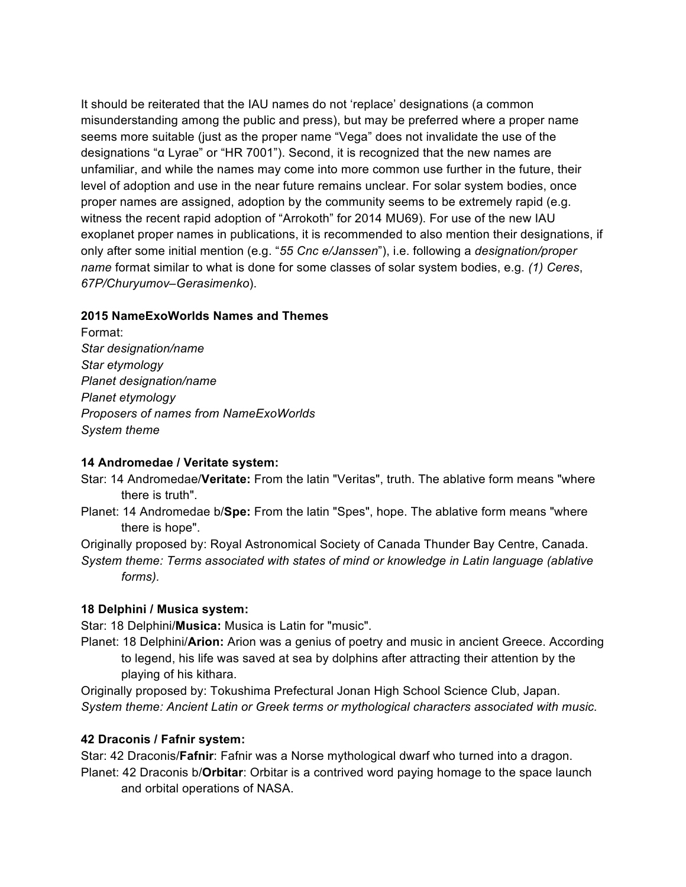It should be reiterated that the IAU names do not 'replace' designations (a common misunderstanding among the public and press), but may be preferred where a proper name seems more suitable (just as the proper name "Vega" does not invalidate the use of the designations "α Lyrae" or "HR 7001"). Second, it is recognized that the new names are unfamiliar, and while the names may come into more common use further in the future, their level of adoption and use in the near future remains unclear. For solar system bodies, once proper names are assigned, adoption by the community seems to be extremely rapid (e.g. witness the recent rapid adoption of "Arrokoth" for 2014 MU69). For use of the new IAU exoplanet proper names in publications, it is recommended to also mention their designations, if only after some initial mention (e.g. "*55 Cnc e/Janssen*"), i.e. following a *designation/proper name* format similar to what is done for some classes of solar system bodies, e.g. *(1) Ceres*, *67P/Churyumov–Gerasimenko*).

### **2015 NameExoWorlds Names and Themes**

Format: *Star designation/name Star etymology Planet designation/name Planet etymology Proposers of names from NameExoWorlds System theme*

### **14 Andromedae / Veritate system:**

- Star: 14 Andromedae/**Veritate:** From the latin "Veritas", truth. The ablative form means "where there is truth".
- Planet: 14 Andromedae b/**Spe:** From the latin "Spes", hope. The ablative form means "where there is hope".

Originally proposed by: Royal Astronomical Society of Canada Thunder Bay Centre, Canada. *System theme: Terms associated with states of mind or knowledge in Latin language (ablative forms).*

### **18 Delphini / Musica system:**

Star: 18 Delphini/**Musica:** Musica is Latin for "music".

Planet: 18 Delphini/**Arion:** Arion was a genius of poetry and music in ancient Greece. According to legend, his life was saved at sea by dolphins after attracting their attention by the playing of his kithara.

Originally proposed by: Tokushima Prefectural Jonan High School Science Club, Japan. *System theme: Ancient Latin or Greek terms or mythological characters associated with music.*

# **42 Draconis / Fafnir system:**

Star: 42 Draconis/**Fafnir**: Fafnir was a Norse mythological dwarf who turned into a dragon. Planet: 42 Draconis b/**Orbitar**: Orbitar is a contrived word paying homage to the space launch and orbital operations of NASA.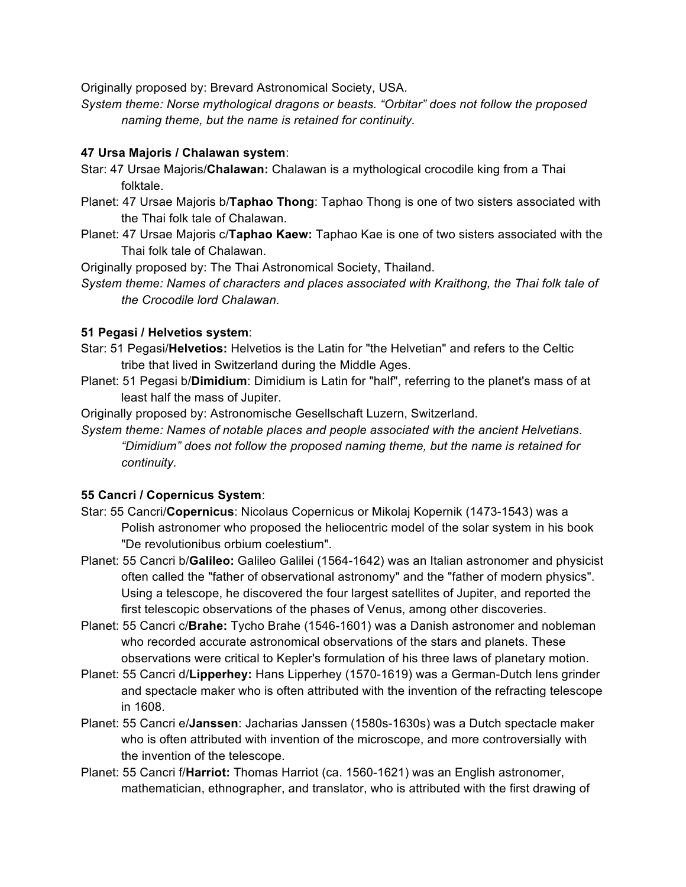Originally proposed by: Brevard Astronomical Society, USA.

*System theme: Norse mythological dragons or beasts. "Orbitar" does not follow the proposed naming theme, but the name is retained for continuity.*

### **47 Ursa Majoris / Chalawan system**:

- Star: 47 Ursae Majoris/**Chalawan:** Chalawan is a mythological crocodile king from a Thai folktale.
- Planet: 47 Ursae Majoris b/**Taphao Thong**: Taphao Thong is one of two sisters associated with the Thai folk tale of Chalawan.
- Planet: 47 Ursae Majoris c/**Taphao Kaew:** Taphao Kae is one of two sisters associated with the Thai folk tale of Chalawan.

Originally proposed by: The Thai Astronomical Society, Thailand.

*System theme: Names of characters and places associated with Kraithong, the Thai folk tale of the Crocodile lord Chalawan*.

### **51 Pegasi / Helvetios system**:

- Star: 51 Pegasi/**Helvetios:** Helvetios is the Latin for "the Helvetian" and refers to the Celtic tribe that lived in Switzerland during the Middle Ages.
- Planet: 51 Pegasi b/**Dimidium**: Dimidium is Latin for "half", referring to the planet's mass of at least half the mass of Jupiter.

Originally proposed by: Astronomische Gesellschaft Luzern, Switzerland.

*System theme: Names of notable places and people associated with the ancient Helvetians*. *"Dimidium" does not follow the proposed naming theme, but the name is retained for continuity.*

# **55 Cancri / Copernicus System**:

- Star: 55 Cancri/**Copernicus**: Nicolaus Copernicus or Mikolaj Kopernik (1473-1543) was a Polish astronomer who proposed the heliocentric model of the solar system in his book "De revolutionibus orbium coelestium".
- Planet: 55 Cancri b/**Galileo:** Galileo Galilei (1564-1642) was an Italian astronomer and physicist often called the "father of observational astronomy" and the "father of modern physics". Using a telescope, he discovered the four largest satellites of Jupiter, and reported the first telescopic observations of the phases of Venus, among other discoveries.
- Planet: 55 Cancri c/**Brahe:** Tycho Brahe (1546-1601) was a Danish astronomer and nobleman who recorded accurate astronomical observations of the stars and planets. These observations were critical to Kepler's formulation of his three laws of planetary motion.
- Planet: 55 Cancri d/**Lipperhey:** Hans Lipperhey (1570-1619) was a German-Dutch lens grinder and spectacle maker who is often attributed with the invention of the refracting telescope in 1608.
- Planet: 55 Cancri e/**Janssen**: Jacharias Janssen (1580s-1630s) was a Dutch spectacle maker who is often attributed with invention of the microscope, and more controversially with the invention of the telescope.
- Planet: 55 Cancri f/**Harriot:** Thomas Harriot (ca. 1560-1621) was an English astronomer, mathematician, ethnographer, and translator, who is attributed with the first drawing of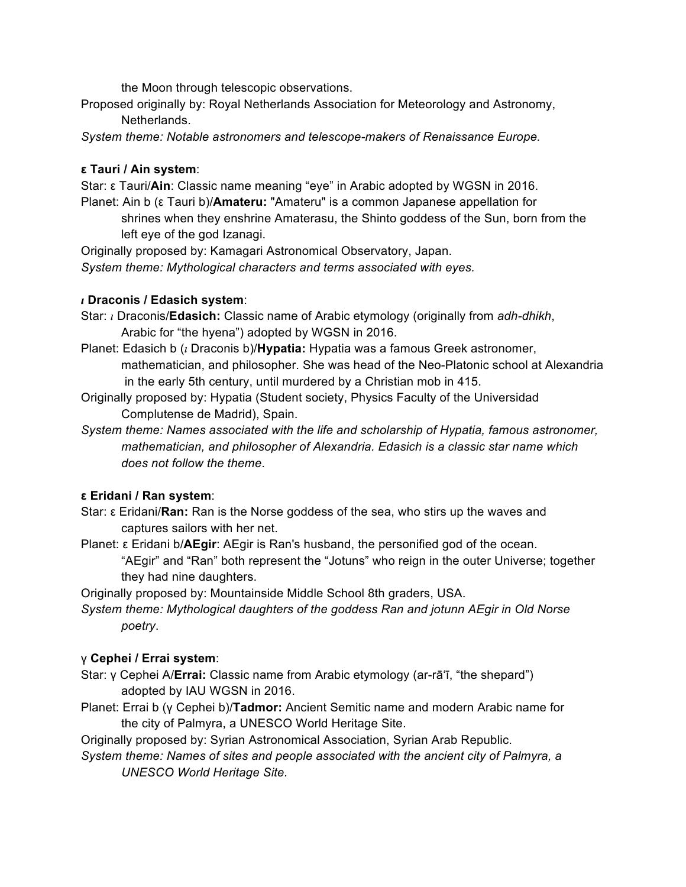the Moon through telescopic observations.

Proposed originally by: Royal Netherlands Association for Meteorology and Astronomy, Netherlands.

*System theme: Notable astronomers and telescope-makers of Renaissance Europe.*

# **ε Tauri / Ain system**:

Star: ε Tauri/**Ain**: Classic name meaning "eye" in Arabic adopted by WGSN in 2016.

Planet: Ain b (ε Tauri b)/**Amateru:** "Amateru" is a common Japanese appellation for shrines when they enshrine Amaterasu, the Shinto goddess of the Sun, born from the left eye of the god Izanagi.

Originally proposed by: Kamagari Astronomical Observatory, Japan. *System theme: Mythological characters and terms associated with eyes.*

# *ι* **Draconis / Edasich system**:

Star: *ι* Draconis/**Edasich:** Classic name of Arabic etymology (originally from *adh-dhikh*, Arabic for "the hyena") adopted by WGSN in 2016.

- Planet: Edasich b (*ι* Draconis b)/**Hypatia:** Hypatia was a famous Greek astronomer, mathematician, and philosopher. She was head of the Neo-Platonic school at Alexandria in the early 5th century, until murdered by a Christian mob in 415.
- Originally proposed by: Hypatia (Student society, Physics Faculty of the Universidad Complutense de Madrid), Spain.
- *System theme: Names associated with the life and scholarship of Hypatia, famous astronomer, mathematician, and philosopher of Alexandria. Edasich is a classic star name which does not follow the theme*.

# **ε Eridani / Ran system**:

- Star: ε Eridani/**Ran:** Ran is the Norse goddess of the sea, who stirs up the waves and captures sailors with her net.
- Planet: ε Eridani b/**AEgir**: AEgir is Ran's husband, the personified god of the ocean. "AEgir" and "Ran" both represent the "Jotuns" who reign in the outer Universe; together they had nine daughters.

Originally proposed by: Mountainside Middle School 8th graders, USA.

*System theme: Mythological daughters of the goddess Ran and jotunn AEgir in Old Norse poetry*.

# γ **Cephei / Errai system**:

- Star: γ Cephei A/**Errai:** Classic name from Arabic etymology (ar-rā'ī, "the shepard") adopted by IAU WGSN in 2016.
- Planet: Errai b (γ Cephei b)/**Tadmor:** Ancient Semitic name and modern Arabic name for the city of Palmyra, a UNESCO World Heritage Site.

Originally proposed by: Syrian Astronomical Association, Syrian Arab Republic.

*System theme: Names of sites and people associated with the ancient city of Palmyra, a UNESCO World Heritage Site.*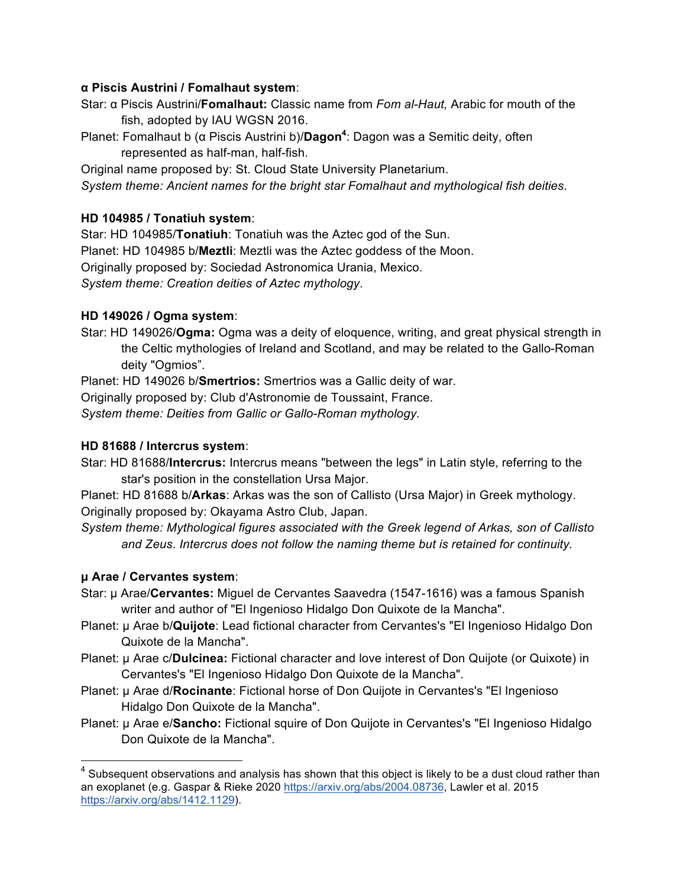### **α Piscis Austrini / Fomalhaut system**:

- Star: α Piscis Austrini/**Fomalhaut:** Classic name from *Fom al-Haut,* Arabic for mouth of the fish, adopted by IAU WGSN 2016.
- Planet: Fomalhaut b (α Piscis Austrini b)/**Dagon4** : Dagon was a Semitic deity, often represented as half-man, half-fish.

Original name proposed by: St. Cloud State University Planetarium. *System theme: Ancient names for the bright star Fomalhaut and mythological fish deities*.

# **HD 104985 / Tonatiuh system**:

Star: HD 104985/**Tonatiuh**: Tonatiuh was the Aztec god of the Sun. Planet: HD 104985 b/**Meztli**: Meztli was the Aztec goddess of the Moon. Originally proposed by: Sociedad Astronomica Urania, Mexico. *System theme: Creation deities of Aztec mythology*.

# **HD 149026 / Ogma system**:

Star: HD 149026/**Ogma:** Ogma was a deity of eloquence, writing, and great physical strength in the Celtic mythologies of Ireland and Scotland, and may be related to the Gallo-Roman deity "Ogmios".

Planet: HD 149026 b/**Smertrios:** Smertrios was a Gallic deity of war.

Originally proposed by: Club d'Astronomie de Toussaint, France.

*System theme: Deities from Gallic or Gallo-Roman mythology.*

### **HD 81688 / Intercrus system**:

Star: HD 81688/**Intercrus:** Intercrus means "between the legs" in Latin style, referring to the star's position in the constellation Ursa Major.

Planet: HD 81688 b/**Arkas**: Arkas was the son of Callisto (Ursa Major) in Greek mythology. Originally proposed by: Okayama Astro Club, Japan.

*System theme: Mythological figures associated with the Greek legend of Arkas, son of Callisto and Zeus*. *Intercrus does not follow the naming theme but is retained for continuity.*

# **µ Arae / Cervantes system**:

- Star: µ Arae/**Cervantes:** Miguel de Cervantes Saavedra (1547-1616) was a famous Spanish writer and author of "El Ingenioso Hidalgo Don Quixote de la Mancha".
- Planet: µ Arae b/**Quijote**: Lead fictional character from Cervantes's "El Ingenioso Hidalgo Don Quixote de la Mancha".
- Planet: µ Arae c/**Dulcinea:** Fictional character and love interest of Don Quijote (or Quixote) in Cervantes's "El Ingenioso Hidalgo Don Quixote de la Mancha".
- Planet: µ Arae d/**Rocinante**: Fictional horse of Don Quijote in Cervantes's "El Ingenioso Hidalgo Don Quixote de la Mancha".
- Planet: µ Arae e/**Sancho:** Fictional squire of Don Quijote in Cervantes's "El Ingenioso Hidalgo Don Quixote de la Mancha".

 $4$  Subsequent observations and analysis has shown that this object is likely to be a dust cloud rather than an exoplanet (e.g. Gaspar & Rieke 2020 https://arxiv.org/abs/2004.08736, Lawler et al. 2015 https://arxiv.org/abs/1412.1129).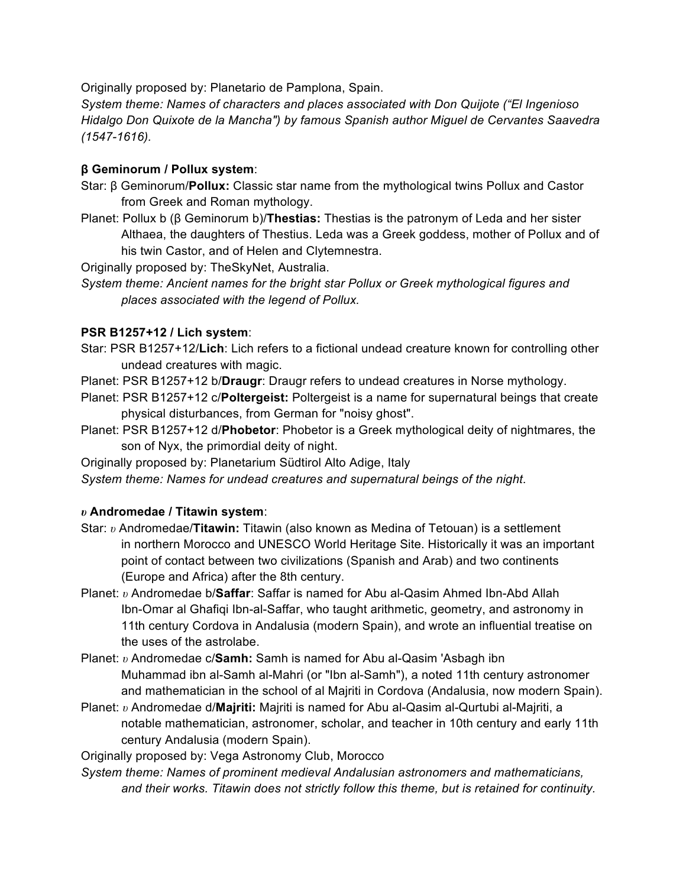Originally proposed by: Planetario de Pamplona, Spain.

*System theme: Names of characters and places associated with Don Quijote ("El Ingenioso Hidalgo Don Quixote de la Mancha") by famous Spanish author Miguel de Cervantes Saavedra (1547-1616).*

### **β Geminorum / Pollux system**:

- Star: β Geminorum/**Pollux:** Classic star name from the mythological twins Pollux and Castor from Greek and Roman mythology.
- Planet: Pollux b (β Geminorum b)/**Thestias:** Thestias is the patronym of Leda and her sister Althaea, the daughters of Thestius. Leda was a Greek goddess, mother of Pollux and of his twin Castor, and of Helen and Clytemnestra.

Originally proposed by: TheSkyNet, Australia.

*System theme: Ancient names for the bright star Pollux or Greek mythological figures and places associated with the legend of Pollux.*

### **PSR B1257+12 / Lich system**:

- Star: PSR B1257+12/**Lich**: Lich refers to a fictional undead creature known for controlling other undead creatures with magic.
- Planet: PSR B1257+12 b/**Draugr**: Draugr refers to undead creatures in Norse mythology.
- Planet: PSR B1257+12 c/**Poltergeist:** Poltergeist is a name for supernatural beings that create physical disturbances, from German for "noisy ghost".
- Planet: PSR B1257+12 d/**Phobetor**: Phobetor is a Greek mythological deity of nightmares, the son of Nyx, the primordial deity of night.
- Originally proposed by: Planetarium Südtirol Alto Adige, Italy
- *System theme: Names for undead creatures and supernatural beings of the night*.

### *υ* **Andromedae / Titawin system**:

- Star: *υ* Andromedae/**Titawin:** Titawin (also known as Medina of Tetouan) is a settlement in northern Morocco and UNESCO World Heritage Site. Historically it was an important point of contact between two civilizations (Spanish and Arab) and two continents (Europe and Africa) after the 8th century.
- Planet: *υ* Andromedae b/**Saffar**: Saffar is named for Abu al-Qasim Ahmed Ibn-Abd Allah Ibn-Omar al Ghafiqi Ibn-al-Saffar, who taught arithmetic, geometry, and astronomy in 11th century Cordova in Andalusia (modern Spain), and wrote an influential treatise on the uses of the astrolabe.
- Planet: *υ* Andromedae c/**Samh:** Samh is named for Abu al-Qasim 'Asbagh ibn Muhammad ibn al-Samh al-Mahri (or "Ibn al-Samh"), a noted 11th century astronomer and mathematician in the school of al Majriti in Cordova (Andalusia, now modern Spain).
- Planet: *υ* Andromedae d/**Majriti:** Majriti is named for Abu al-Qasim al-Qurtubi al-Majriti, a notable mathematician, astronomer, scholar, and teacher in 10th century and early 11th century Andalusia (modern Spain).

Originally proposed by: Vega Astronomy Club, Morocco

*System theme: Names of prominent medieval Andalusian astronomers and mathematicians, and their works. Titawin does not strictly follow this theme, but is retained for continuity.*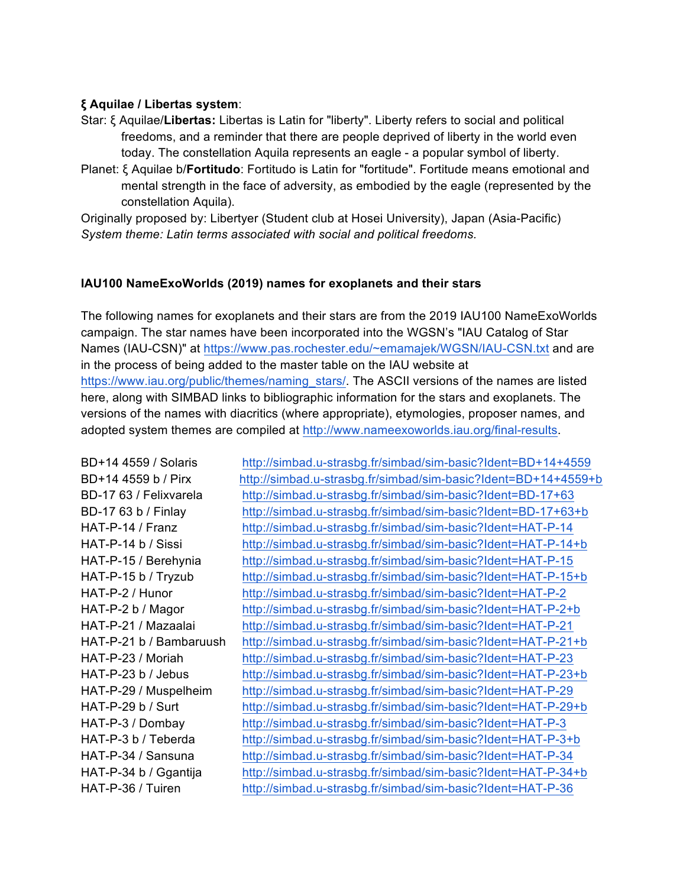### **ξ Aquilae / Libertas system**:

- Star: ξ Aquilae/**Libertas:** Libertas is Latin for "liberty". Liberty refers to social and political freedoms, and a reminder that there are people deprived of liberty in the world even today. The constellation Aquila represents an eagle - a popular symbol of liberty.
- Planet: ξ Aquilae b/**Fortitudo**: Fortitudo is Latin for "fortitude". Fortitude means emotional and mental strength in the face of adversity, as embodied by the eagle (represented by the constellation Aquila).

Originally proposed by: Libertyer (Student club at Hosei University), Japan (Asia-Pacific) *System theme: Latin terms associated with social and political freedoms.*

#### **IAU100 NameExoWorlds (2019) names for exoplanets and their stars**

The following names for exoplanets and their stars are from the 2019 IAU100 NameExoWorlds campaign. The star names have been incorporated into the WGSN's "IAU Catalog of Star Names (IAU-CSN)" at https://www.pas.rochester.edu/~emamajek/WGSN/IAU-CSN.txt and are in the process of being added to the master table on the IAU website at https://www.iau.org/public/themes/naming\_stars/. The ASCII versions of the names are listed here, along with SIMBAD links to bibliographic information for the stars and exoplanets. The versions of the names with diacritics (where appropriate), etymologies, proposer names, and adopted system themes are compiled at http://www.nameexoworlds.iau.org/final-results.

BD+14 4559 / Solaris http://simbad.u-strasbg.fr/simbad/sim-basic?Ident=BD+14+4559 BD+14 4559 b / Pirx http://simbad.u-strasbg.fr/simbad/sim-basic?Ident=BD+14+4559+b BD-17 63 / Felixvarela http://simbad.u-strasbg.fr/simbad/sim-basic?Ident=BD-17+63 BD-17 63 b / Finlay http://simbad.u-strasbg.fr/simbad/sim-basic?Ident=BD-17+63+b HAT-P-14 / Franz http://simbad.u-strasbg.fr/simbad/sim-basic?Ident=HAT-P-14 HAT-P-14 b / Sissi http://simbad.u-strasbg.fr/simbad/sim-basic?Ident=HAT-P-14+b HAT-P-15 / Berehynia http://simbad.u-strasbg.fr/simbad/sim-basic?Ident=HAT-P-15 HAT-P-15 b / Tryzub http://simbad.u-strasbg.fr/simbad/sim-basic?Ident=HAT-P-15+b HAT-P-2 / Hunor http://simbad.u-strasbg.fr/simbad/sim-basic?Ident=HAT-P-2 HAT-P-2 b / Magor http://simbad.u-strasbg.fr/simbad/sim-basic?Ident=HAT-P-2+b HAT-P-21 / Mazaalai http://simbad.u-strasbg.fr/simbad/sim-basic?Ident=HAT-P-21 HAT-P-21 b / Bambaruush http://simbad.u-strasbg.fr/simbad/sim-basic?Ident=HAT-P-21+b HAT-P-23 / Moriah http://simbad.u-strasbg.fr/simbad/sim-basic?Ident=HAT-P-23 HAT-P-23 b / Jebus http://simbad.u-strasbg.fr/simbad/sim-basic?Ident=HAT-P-23+b HAT-P-29 / Muspelheim http://simbad.u-strasbg.fr/simbad/sim-basic?Ident=HAT-P-29 HAT-P-29 b / Surt http://simbad.u-strasbg.fr/simbad/sim-basic?Ident=HAT-P-29+b HAT-P-3 / Dombay http://simbad.u-strasbg.fr/simbad/sim-basic?Ident=HAT-P-3 HAT-P-3 b / Teberda http://simbad.u-strasbg.fr/simbad/sim-basic?Ident=HAT-P-3+b HAT-P-34 / Sansuna http://simbad.u-strasbg.fr/simbad/sim-basic?Ident=HAT-P-34 HAT-P-34 b / Ggantija http://simbad.u-strasbg.fr/simbad/sim-basic?Ident=HAT-P-34+b HAT-P-36 / Tuiren http://simbad.u-strasbg.fr/simbad/sim-basic?Ident=HAT-P-36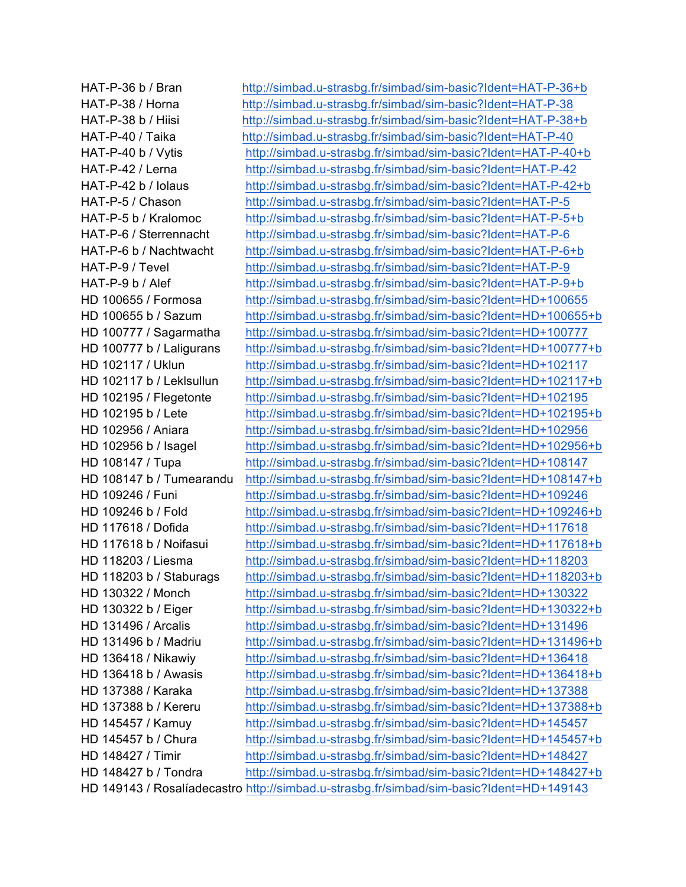HAT-P-36 b / Bran http://simbad.u-strasbg.fr/simbad/sim-basic?Ident=HAT-P-36+b HAT-P-38 / Horna http://simbad.u-strasbg.fr/simbad/sim-basic?Ident=HAT-P-38 HAT-P-38 b / Hiisi http://simbad.u-strasbg.fr/simbad/sim-basic?Ident=HAT-P-38+b HAT-P-40 / Taika http://simbad.u-strasbg.fr/simbad/sim-basic?Ident=HAT-P-40 HAT-P-40 b / Vytis http://simbad.u-strasbg.fr/simbad/sim-basic?Ident=HAT-P-40+b HAT-P-42 / Lerna http://simbad.u-strasbg.fr/simbad/sim-basic?Ident=HAT-P-42 HAT-P-42 b / Iolaus http://simbad.u-strasbg.fr/simbad/sim-basic?Ident=HAT-P-42+b HAT-P-5 / Chason http://simbad.u-strasbg.fr/simbad/sim-basic?Ident=HAT-P-5 HAT-P-5 b / Kralomoc http://simbad.u-strasbg.fr/simbad/sim-basic?Ident=HAT-P-5+b HAT-P-6 / Sterrennacht http://simbad.u-strasbg.fr/simbad/sim-basic?Ident=HAT-P-6 HAT-P-6 b / Nachtwacht http://simbad.u-strasbg.fr/simbad/sim-basic?Ident=HAT-P-6+b HAT-P-9 / Tevel http://simbad.u-strasbg.fr/simbad/sim-basic?Ident=HAT-P-9 HAT-P-9 b / Alef http://simbad.u-strasbg.fr/simbad/sim-basic?Ident=HAT-P-9+b HD 100655 / Formosa http://simbad.u-strasbg.fr/simbad/sim-basic?Ident=HD+100655 HD 100655 b / Sazum http://simbad.u-strasbg.fr/simbad/sim-basic?Ident=HD+100655+b HD 100777 / Sagarmatha http://simbad.u-strasbg.fr/simbad/sim-basic?Ident=HD+100777 HD 100777 b / Laligurans http://simbad.u-strasbg.fr/simbad/sim-basic?Ident=HD+100777+b HD 102117 / Uklun http://simbad.u-strasbg.fr/simbad/sim-basic?Ident=HD+102117 HD 102117 b / Leklsullun http://simbad.u-strasbg.fr/simbad/sim-basic?Ident=HD+102117+b HD 102195 / Flegetonte http://simbad.u-strasbg.fr/simbad/sim-basic?Ident=HD+102195 HD 102195 b / Lete http://simbad.u-strasbg.fr/simbad/sim-basic?Ident=HD+102195+b HD 102956 / Aniara http://simbad.u-strasbg.fr/simbad/sim-basic?Ident=HD+102956 HD 102956 b / Isagel http://simbad.u-strasbg.fr/simbad/sim-basic?Ident=HD+102956+b HD 108147 / Tupa http://simbad.u-strasbg.fr/simbad/sim-basic?Ident=HD+108147 HD 108147 b / Tumearandu http://simbad.u-strasbg.fr/simbad/sim-basic?Ident=HD+108147+b HD 109246 / Funi http://simbad.u-strasbg.fr/simbad/sim-basic?Ident=HD+109246 HD 109246 b / Fold http://simbad.u-strasbg.fr/simbad/sim-basic?Ident=HD+109246+b HD 117618 / Dofida http://simbad.u-strasbg.fr/simbad/sim-basic?Ident=HD+117618 HD 117618 b / Noifasui http://simbad.u-strasbg.fr/simbad/sim-basic?Ident=HD+117618+b HD 118203 / Liesma http://simbad.u-strasbg.fr/simbad/sim-basic?Ident=HD+118203 HD 118203 b / Staburags http://simbad.u-strasbg.fr/simbad/sim-basic?Ident=HD+118203+b HD 130322 / Monch http://simbad.u-strasbg.fr/simbad/sim-basic?Ident=HD+130322 HD 130322 b / Eiger http://simbad.u-strasbg.fr/simbad/sim-basic?Ident=HD+130322+b HD 131496 / Arcalis http://simbad.u-strasbg.fr/simbad/sim-basic?Ident=HD+131496 HD 131496 b / Madriu http://simbad.u-strasbg.fr/simbad/sim-basic?Ident=HD+131496+b HD 136418 / Nikawiy http://simbad.u-strasbg.fr/simbad/sim-basic?Ident=HD+136418 HD 136418 b / Awasis http://simbad.u-strasbg.fr/simbad/sim-basic?Ident=HD+136418+b HD 137388 / Karaka http://simbad.u-strasbg.fr/simbad/sim-basic?Ident=HD+137388 HD 137388 b / Kereru http://simbad.u-strasbg.fr/simbad/sim-basic?Ident=HD+137388+b HD 145457 / Kamuy http://simbad.u-strasbg.fr/simbad/sim-basic?Ident=HD+145457 HD 145457 b / Chura http://simbad.u-strasbg.fr/simbad/sim-basic?Ident=HD+145457+b HD 148427 / Timir http://simbad.u-strasbg.fr/simbad/sim-basic?Ident=HD+148427 HD 148427 b / Tondra http://simbad.u-strasbg.fr/simbad/sim-basic?Ident=HD+148427+b HD 149143 / Rosalíadecastro http://simbad.u-strasbg.fr/simbad/sim-basic?Ident=HD+149143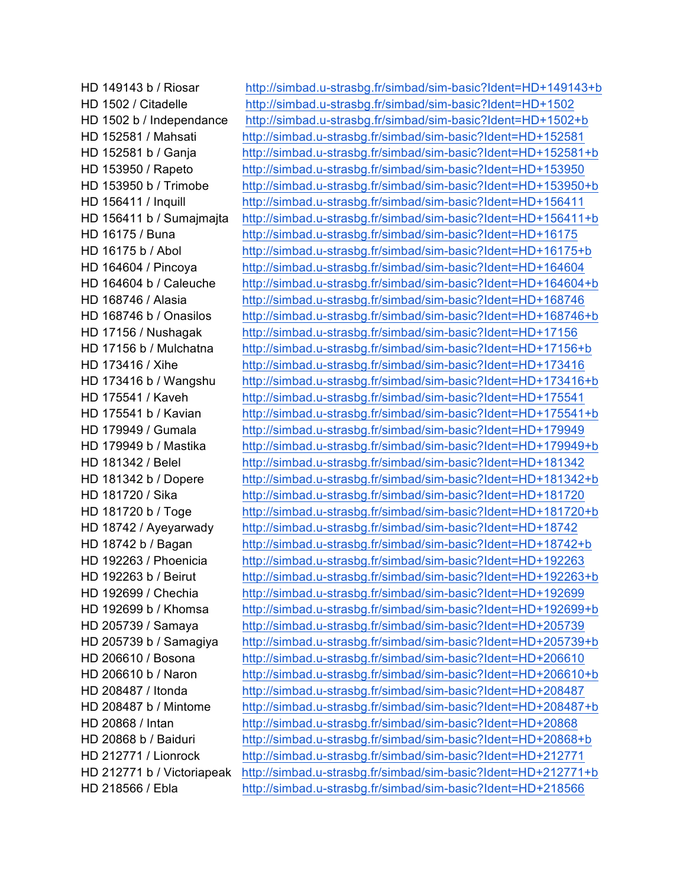HD 149143 b / Riosar http://simbad.u-strasbg.fr/simbad/sim-basic?Ident=HD+149143+b HD 1502 / Citadelle http://simbad.u-strasbg.fr/simbad/sim-basic?Ident=HD+1502 HD 1502 b / Independance http://simbad.u-strasbg.fr/simbad/sim-basic?Ident=HD+1502+b HD 152581 / Mahsati http://simbad.u-strasbg.fr/simbad/sim-basic?Ident=HD+152581 HD 152581 b / Ganja http://simbad.u-strasbg.fr/simbad/sim-basic?Ident=HD+152581+b HD 153950 / Rapeto http://simbad.u-strasbg.fr/simbad/sim-basic?Ident=HD+153950 HD 153950 b / Trimobe http://simbad.u-strasbg.fr/simbad/sim-basic?Ident=HD+153950+b HD 156411 / Inquill http://simbad.u-strasbg.fr/simbad/sim-basic?Ident=HD+156411 HD 156411 b / Sumajmajta http://simbad.u-strasbg.fr/simbad/sim-basic?Ident=HD+156411+b HD 16175 / Buna http://simbad.u-strasbg.fr/simbad/sim-basic?Ident=HD+16175 HD 16175 b / Abol http://simbad.u-strasbg.fr/simbad/sim-basic?Ident=HD+16175+b HD 164604 / Pincoya http://simbad.u-strasbg.fr/simbad/sim-basic?Ident=HD+164604 HD 164604 b / Caleuche http://simbad.u-strasbg.fr/simbad/sim-basic?Ident=HD+164604+b HD 168746 / Alasia http://simbad.u-strasbg.fr/simbad/sim-basic?Ident=HD+168746 HD 168746 b / Onasilos http://simbad.u-strasbg.fr/simbad/sim-basic?Ident=HD+168746+b HD 17156 / Nushagak http://simbad.u-strasbg.fr/simbad/sim-basic?Ident=HD+17156 HD 17156 b / Mulchatna http://simbad.u-strasbg.fr/simbad/sim-basic?Ident=HD+17156+b HD 173416 / Xihe http://simbad.u-strasbg.fr/simbad/sim-basic?Ident=HD+173416 HD 173416 b / Wangshu http://simbad.u-strasbg.fr/simbad/sim-basic?Ident=HD+173416+b HD 175541 / Kaveh http://simbad.u-strasbg.fr/simbad/sim-basic?Ident=HD+175541 HD 175541 b / Kavian http://simbad.u-strasbg.fr/simbad/sim-basic?Ident=HD+175541+b HD 179949 / Gumala http://simbad.u-strasbg.fr/simbad/sim-basic?Ident=HD+179949 HD 179949 b / Mastika http://simbad.u-strasbg.fr/simbad/sim-basic?Ident=HD+179949+b HD 181342 / Belel http://simbad.u-strasbg.fr/simbad/sim-basic?Ident=HD+181342 HD 181342 b / Dopere http://simbad.u-strasbg.fr/simbad/sim-basic?Ident=HD+181342+b HD 181720 / Sika http://simbad.u-strasbg.fr/simbad/sim-basic?Ident=HD+181720 HD 181720 b / Toge http://simbad.u-strasbg.fr/simbad/sim-basic?Ident=HD+181720+b HD 18742 / Ayeyarwady http://simbad.u-strasbg.fr/simbad/sim-basic?Ident=HD+18742 HD 18742 b / Bagan http://simbad.u-strasbg.fr/simbad/sim-basic?Ident=HD+18742+b HD 192263 / Phoenicia http://simbad.u-strasbg.fr/simbad/sim-basic?Ident=HD+192263 HD 192263 b / Beirut http://simbad.u-strasbg.fr/simbad/sim-basic?Ident=HD+192263+b HD 192699 / Chechia http://simbad.u-strasbg.fr/simbad/sim-basic?Ident=HD+192699 HD 192699 b / Khomsa http://simbad.u-strasbg.fr/simbad/sim-basic?Ident=HD+192699+b HD 205739 / Samaya http://simbad.u-strasbg.fr/simbad/sim-basic?Ident=HD+205739 HD 205739 b / Samagiya http://simbad.u-strasbg.fr/simbad/sim-basic?Ident=HD+205739+b HD 206610 / Bosona http://simbad.u-strasbg.fr/simbad/sim-basic?Ident=HD+206610 HD 206610 b / Naron http://simbad.u-strasbg.fr/simbad/sim-basic?Ident=HD+206610+b HD 208487 / Itonda http://simbad.u-strasbg.fr/simbad/sim-basic?Ident=HD+208487 HD 208487 b / Mintome http://simbad.u-strasbg.fr/simbad/sim-basic?Ident=HD+208487+b HD 20868 / Intan http://simbad.u-strasbg.fr/simbad/sim-basic?Ident=HD+20868 HD 20868 b / Baiduri http://simbad.u-strasbg.fr/simbad/sim-basic?Ident=HD+20868+b HD 212771 / Lionrock http://simbad.u-strasbg.fr/simbad/sim-basic?Ident=HD+212771 HD 212771 b / Victoriapeak http://simbad.u-strasbg.fr/simbad/sim-basic?Ident=HD+212771+b HD 218566 / Ebla http://simbad.u-strasbg.fr/simbad/sim-basic?Ident=HD+218566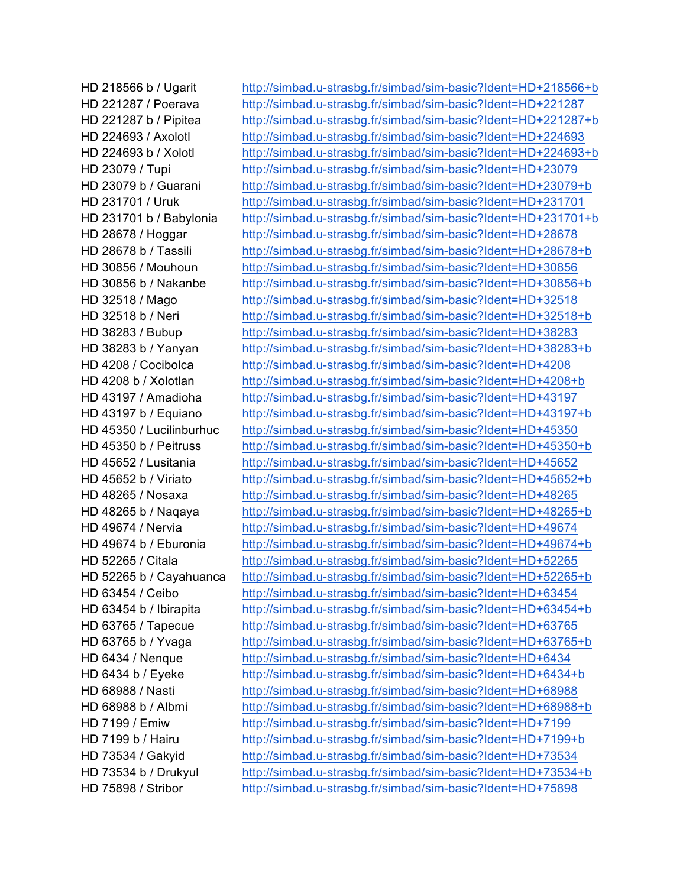HD 218566 b / Ugarit http://simbad.u-strasbg.fr/simbad/sim-basic?Ident=HD+218566+b HD 221287 / Poerava http://simbad.u-strasbg.fr/simbad/sim-basic?Ident=HD+221287 HD 221287 b / Pipitea http://simbad.u-strasbg.fr/simbad/sim-basic?Ident=HD+221287+b HD 224693 / Axolotl http://simbad.u-strasbg.fr/simbad/sim-basic?Ident=HD+224693 HD 224693 b / Xolotl http://simbad.u-strasbg.fr/simbad/sim-basic?Ident=HD+224693+b HD 23079 / Tupi http://simbad.u-strasbg.fr/simbad/sim-basic?Ident=HD+23079 HD 23079 b / Guarani http://simbad.u-strasbg.fr/simbad/sim-basic?Ident=HD+23079+b HD 231701 / Uruk http://simbad.u-strasbg.fr/simbad/sim-basic?Ident=HD+231701 HD 231701 b / Babylonia http://simbad.u-strasbg.fr/simbad/sim-basic?Ident=HD+231701+b HD 28678 / Hoggar http://simbad.u-strasbg.fr/simbad/sim-basic?Ident=HD+28678 HD 28678 b / Tassili http://simbad.u-strasbg.fr/simbad/sim-basic?Ident=HD+28678+b HD 30856 / Mouhoun http://simbad.u-strasbg.fr/simbad/sim-basic?Ident=HD+30856 HD 30856 b / Nakanbe http://simbad.u-strasbg.fr/simbad/sim-basic?Ident=HD+30856+b HD 32518 / Mago http://simbad.u-strasbg.fr/simbad/sim-basic?Ident=HD+32518 HD 32518 b / Neri http://simbad.u-strasbg.fr/simbad/sim-basic?Ident=HD+32518+b HD 38283 / Bubup http://simbad.u-strasbg.fr/simbad/sim-basic?Ident=HD+38283 HD 38283 b / Yanyan http://simbad.u-strasbg.fr/simbad/sim-basic?Ident=HD+38283+b HD 4208 / Cocibolca http://simbad.u-strasbg.fr/simbad/sim-basic?Ident=HD+4208 HD 4208 b / Xolotlan http://simbad.u-strasbg.fr/simbad/sim-basic?Ident=HD+4208+b HD 43197 / Amadioha http://simbad.u-strasbg.fr/simbad/sim-basic?Ident=HD+43197 HD 43197 b / Equiano http://simbad.u-strasbg.fr/simbad/sim-basic?Ident=HD+43197+b HD 45350 / Lucilinburhuc http://simbad.u-strasbg.fr/simbad/sim-basic?Ident=HD+45350 HD 45350 b / Peitruss http://simbad.u-strasbg.fr/simbad/sim-basic?Ident=HD+45350+b HD 45652 / Lusitania http://simbad.u-strasbg.fr/simbad/sim-basic?Ident=HD+45652 HD 45652 b / Viriato http://simbad.u-strasbg.fr/simbad/sim-basic?Ident=HD+45652+b HD 48265 / Nosaxa http://simbad.u-strasbg.fr/simbad/sim-basic?Ident=HD+48265 HD 48265 b / Naqaya http://simbad.u-strasbg.fr/simbad/sim-basic?Ident=HD+48265+b HD 49674 / Nervia http://simbad.u-strasbg.fr/simbad/sim-basic?Ident=HD+49674 HD 49674 b / Eburonia http://simbad.u-strasbg.fr/simbad/sim-basic?Ident=HD+49674+b HD 52265 / Citala http://simbad.u-strasbg.fr/simbad/sim-basic?Ident=HD+52265 HD 52265 b / Cayahuanca http://simbad.u-strasbg.fr/simbad/sim-basic?Ident=HD+52265+b HD 63454 / Ceibo http://simbad.u-strasbg.fr/simbad/sim-basic?Ident=HD+63454 HD 63454 b / Ibirapita http://simbad.u-strasbg.fr/simbad/sim-basic?Ident=HD+63454+b HD 63765 / Tapecue http://simbad.u-strasbg.fr/simbad/sim-basic?Ident=HD+63765 HD 63765 b / Yvaga http://simbad.u-strasbg.fr/simbad/sim-basic?Ident=HD+63765+b HD 6434 / Nenque http://simbad.u-strasbg.fr/simbad/sim-basic?Ident=HD+6434 HD 6434 b / Eyeke http://simbad.u-strasbg.fr/simbad/sim-basic?Ident=HD+6434+b HD 68988 / Nasti http://simbad.u-strasbg.fr/simbad/sim-basic?Ident=HD+68988 HD 68988 b / Albmi http://simbad.u-strasbg.fr/simbad/sim-basic?Ident=HD+68988+b HD 7199 / Emiw http://simbad.u-strasbg.fr/simbad/sim-basic?Ident=HD+7199 HD 7199 b / Hairu http://simbad.u-strasbg.fr/simbad/sim-basic?Ident=HD+7199+b HD 73534 / Gakyid http://simbad.u-strasbg.fr/simbad/sim-basic?Ident=HD+73534 HD 73534 b / Drukyul http://simbad.u-strasbg.fr/simbad/sim-basic?Ident=HD+73534+b HD 75898 / Stribor http://simbad.u-strasbg.fr/simbad/sim-basic?Ident=HD+75898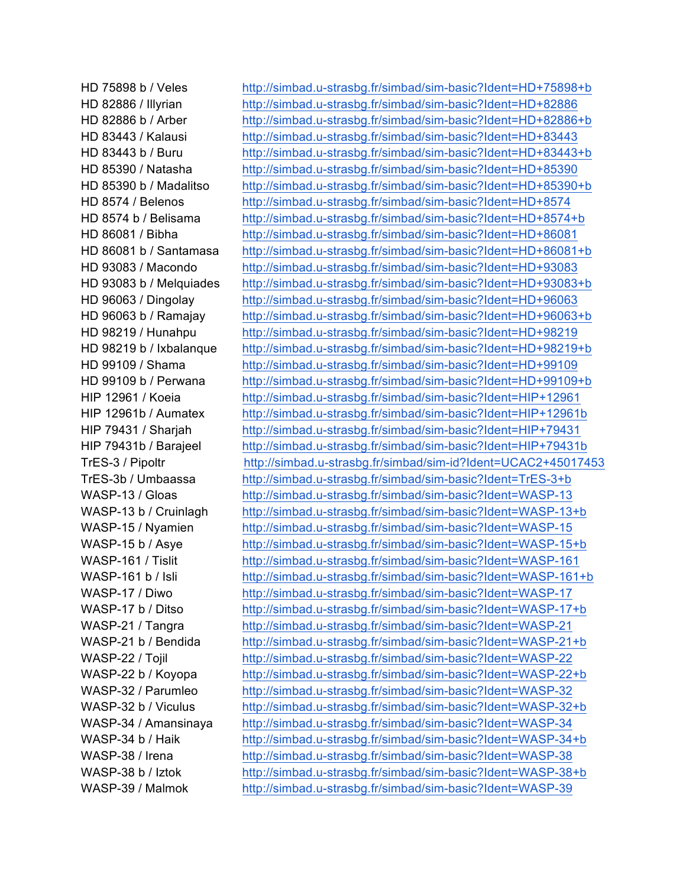HD 75898 b / Veles http://simbad.u-strasbg.fr/simbad/sim-basic?Ident=HD+75898+b HD 82886 / Illyrian http://simbad.u-strasbg.fr/simbad/sim-basic?Ident=HD+82886 HD 82886 b / Arber http://simbad.u-strasbg.fr/simbad/sim-basic?Ident=HD+82886+b HD 83443 / Kalausi http://simbad.u-strasbg.fr/simbad/sim-basic?Ident=HD+83443 HD 83443 b / Buru http://simbad.u-strasbg.fr/simbad/sim-basic?Ident=HD+83443+b HD 85390 / Natasha http://simbad.u-strasbg.fr/simbad/sim-basic?Ident=HD+85390 HD 85390 b / Madalitso http://simbad.u-strasbg.fr/simbad/sim-basic?Ident=HD+85390+b HD 8574 / Belenos http://simbad.u-strasbg.fr/simbad/sim-basic?Ident=HD+8574 HD 8574 b / Belisama http://simbad.u-strasbg.fr/simbad/sim-basic?Ident=HD+8574+b HD 86081 / Bibha http://simbad.u-strasbg.fr/simbad/sim-basic?Ident=HD+86081 HD 86081 b / Santamasa http://simbad.u-strasbg.fr/simbad/sim-basic?Ident=HD+86081+b HD 93083 / Macondo http://simbad.u-strasbg.fr/simbad/sim-basic?Ident=HD+93083 HD 93083 b / Melquiades http://simbad.u-strasbg.fr/simbad/sim-basic?Ident=HD+93083+b HD 96063 / Dingolay http://simbad.u-strasbg.fr/simbad/sim-basic?Ident=HD+96063 HD 96063 b / Ramajay http://simbad.u-strasbg.fr/simbad/sim-basic?Ident=HD+96063+b HD 98219 / Hunahpu http://simbad.u-strasbg.fr/simbad/sim-basic?Ident=HD+98219 HD 98219 b / Ixbalanque http://simbad.u-strasbg.fr/simbad/sim-basic?Ident=HD+98219+b HD 99109 / Shama http://simbad.u-strasbg.fr/simbad/sim-basic?Ident=HD+99109 HD 99109 b / Perwana http://simbad.u-strasbg.fr/simbad/sim-basic?Ident=HD+99109+b HIP 12961 / Koeia http://simbad.u-strasbg.fr/simbad/sim-basic?Ident=HIP+12961 HIP 12961b / Aumatex http://simbad.u-strasbg.fr/simbad/sim-basic?Ident=HIP+12961b HIP 79431 / Sharjah http://simbad.u-strasbg.fr/simbad/sim-basic?Ident=HIP+79431 HIP 79431b / Barajeel http://simbad.u-strasbg.fr/simbad/sim-basic?Ident=HIP+79431b TrES-3 / Pipoltr http://simbad.u-strasbg.fr/simbad/sim-id?Ident=UCAC2+45017453 TrES-3b / Umbaassa http://simbad.u-strasbg.fr/simbad/sim-basic?Ident=TrES-3+b WASP-13 / Gloas http://simbad.u-strasbg.fr/simbad/sim-basic?Ident=WASP-13 WASP-13 b / Cruinlagh http://simbad.u-strasbg.fr/simbad/sim-basic?Ident=WASP-13+b WASP-15 / Nyamien http://simbad.u-strasbg.fr/simbad/sim-basic?Ident=WASP-15 WASP-15 b / Asye http://simbad.u-strasbg.fr/simbad/sim-basic?Ident=WASP-15+b WASP-161 / Tislit http://simbad.u-strasbg.fr/simbad/sim-basic?Ident=WASP-161 WASP-161 b / Isli http://simbad.u-strasbg.fr/simbad/sim-basic?Ident=WASP-161+b WASP-17 / Diwo http://simbad.u-strasbg.fr/simbad/sim-basic?Ident=WASP-17 WASP-17 b / Ditso http://simbad.u-strasbg.fr/simbad/sim-basic?Ident=WASP-17+b WASP-21 / Tangra http://simbad.u-strasbg.fr/simbad/sim-basic?Ident=WASP-21 WASP-21 b / Bendida http://simbad.u-strasbg.fr/simbad/sim-basic?Ident=WASP-21+b WASP-22 / Tojil http://simbad.u-strasbg.fr/simbad/sim-basic?Ident=WASP-22 WASP-22 b / Koyopa http://simbad.u-strasbg.fr/simbad/sim-basic?Ident=WASP-22+b WASP-32 / Parumleo http://simbad.u-strasbg.fr/simbad/sim-basic?Ident=WASP-32 WASP-32 b / Viculus http://simbad.u-strasbg.fr/simbad/sim-basic?Ident=WASP-32+b WASP-34 / Amansinaya http://simbad.u-strasbg.fr/simbad/sim-basic?Ident=WASP-34 WASP-34 b / Haik http://simbad.u-strasbg.fr/simbad/sim-basic?Ident=WASP-34+b WASP-38 / Irena http://simbad.u-strasbg.fr/simbad/sim-basic?Ident=WASP-38 WASP-38 b / Iztok http://simbad.u-strasbg.fr/simbad/sim-basic?Ident=WASP-38+b WASP-39 / Malmok http://simbad.u-strasbg.fr/simbad/sim-basic?Ident=WASP-39